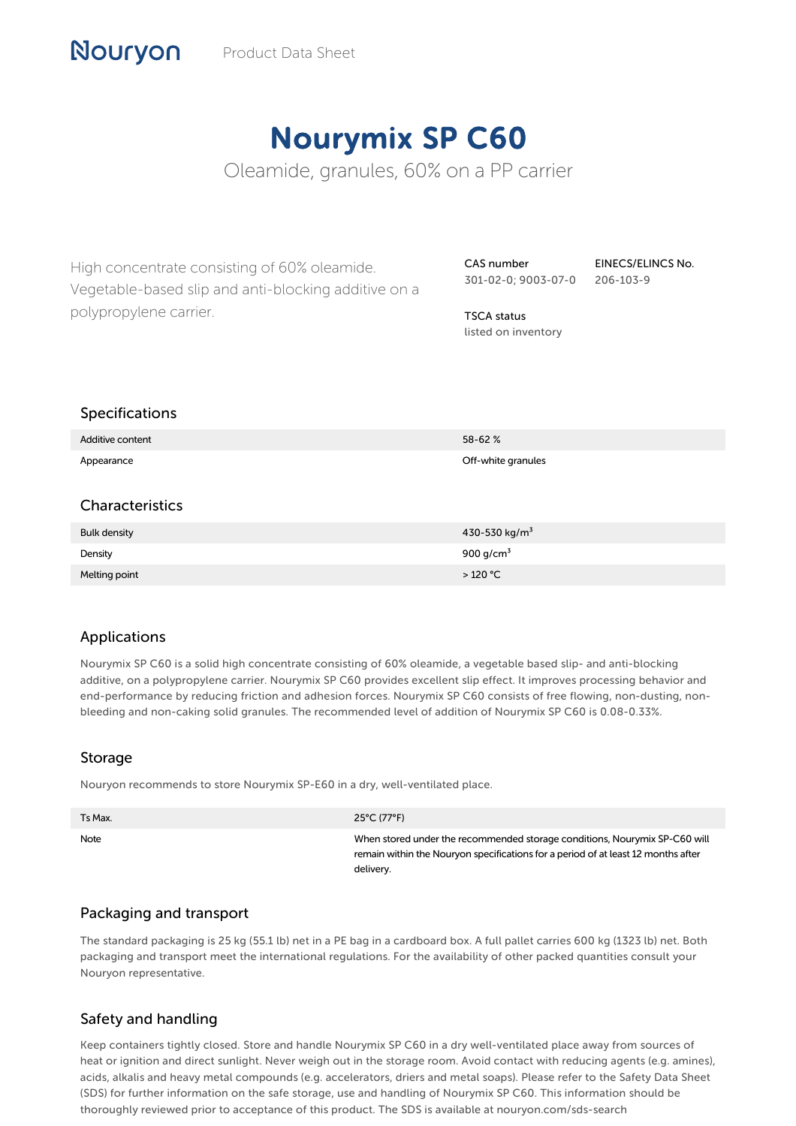# Nourymix SP C60

Oleamide, granules, 60% on a PP carrier

High concentrate consisting of 60% oleamide. Vegetable-based slip and anti-blocking additive on a polypropylene carrier.

CAS number 301-02-0; 9003-07-0

EINECS/ELINCS No. 206-103-9

TSCA status listed on inventory

#### Specifications

Nouryon

| Additive content    | 58-62%                    |
|---------------------|---------------------------|
| Appearance          | Off-white granules        |
|                     |                           |
| Characteristics     |                           |
| <b>Bulk density</b> | 430-530 kg/m <sup>3</sup> |
| Density             | 900 g/cm <sup>3</sup>     |
| Melting point       | >120 °C                   |

## Applications

Nourymix SP C60 is a solid high concentrate consisting of 60% oleamide, a vegetable based slip- and anti-blocking additive, on a polypropylene carrier. Nourymix SP C60 provides excellent slip effect. It improves processing behavior and end-performance by reducing friction and adhesion forces. Nourymix SP C60 consists of free flowing, non-dusting, nonbleeding and non-caking solid granules. The recommended level of addition of Nourymix SP C60 is 0.08-0.33%.

#### Storage

Nouryon recommends to store Nourymix SP-E60 in a dry, well-ventilated place.

| Ts Max. | 25°C (77°F)                                                                                                                                                                  |
|---------|------------------------------------------------------------------------------------------------------------------------------------------------------------------------------|
| Note    | When stored under the recommended storage conditions, Nourymix SP-C60 will<br>remain within the Nouryon specifications for a period of at least 12 months after<br>delivery. |

## Packaging and transport

The standard packaging is 25 kg (55.1 lb) net in a PE bag in a cardboard box. A full pallet carries 600 kg (1323 lb) net. Both packaging and transport meet the international regulations. For the availability of other packed quantities consult your Nouryon representative.

## Safety and handling

Keep containers tightly closed. Store and handle Nourymix SP C60 in a dry well-ventilated place away from sources of heat or ignition and direct sunlight. Never weigh out in the storage room. Avoid contact with reducing agents (e.g. amines), acids, alkalis and heavy metal compounds (e.g. accelerators, driers and metal soaps). Please refer to the Safety Data Sheet (SDS) for further information on the safe storage, use and handling of Nourymix SP C60. This information should be thoroughly reviewed prior to acceptance of this product. The SDS is available at nouryon.com/sds-search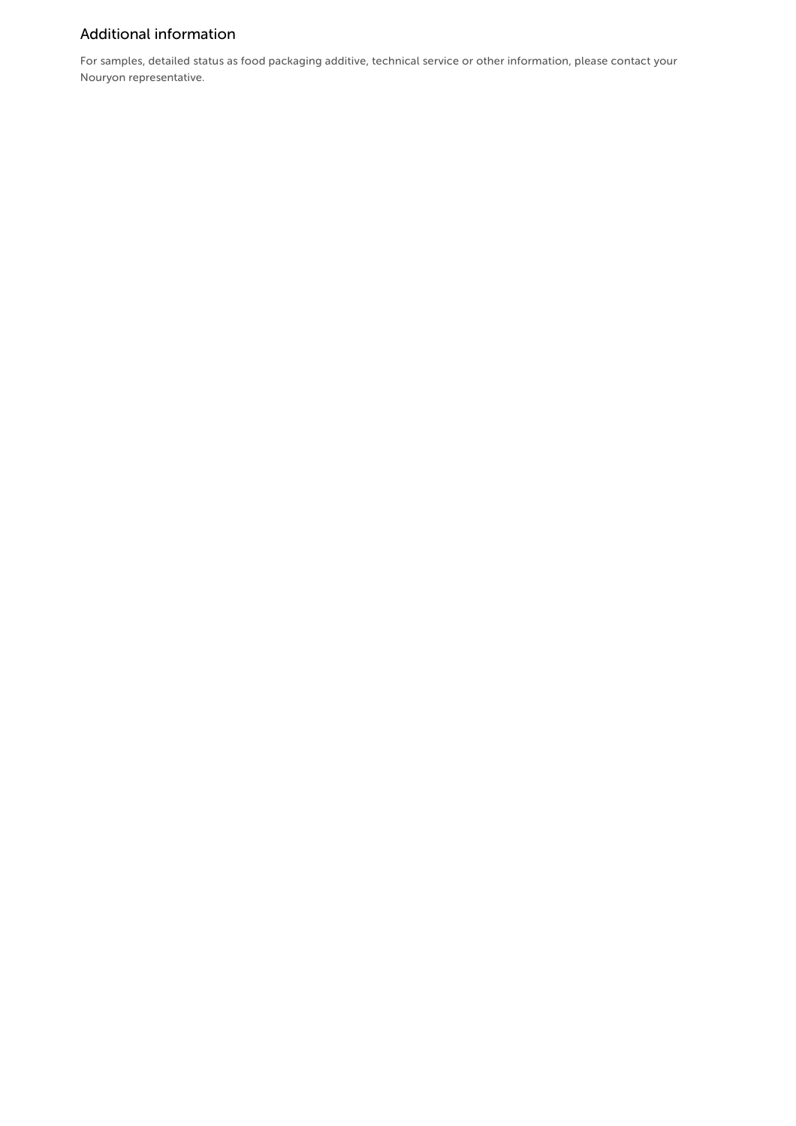# Additional information

For samples, detailed status as food packaging additive, technical service or other information, please contact your Nouryon representative.